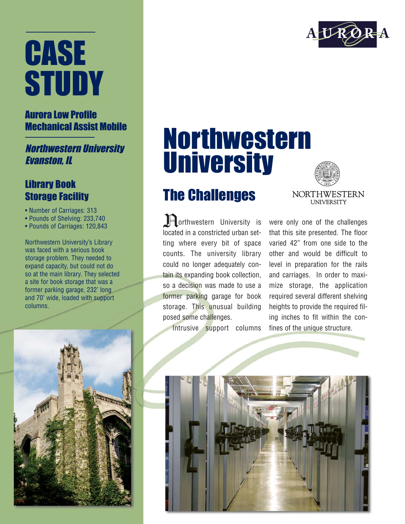# CASE **STUDY**

### Aurora Low Profile Mechanical Assist Mobile

Northwestern University Evanston, IL

#### Library Book Storage Facility

- Number of Carriages: 313
- Pounds of Shelving: 233,740
- Pounds of Carriages: 120,843

Northwestern University's Library was faced with a serious book storage problem. They needed to expand capacity, but could not do so at the main library. They selected a site for book storage that was a former parking garage, 232' long and 70' wide, loaded with support columns.



## Northwestern **University**

### The Challenges

In orthwestern University is located in a constricted urban setting where every bit of space counts. The university library could no longer adequately contain its expanding book collection, so a decision was made to use a former parking garage for book storage. This unusual building posed some challenges.

Intrusive support columns

were only one of the challenges that this site presented. The floor varied 42" from one side to the other and would be difficult to level in preparation for the rails and carriages. In order to maximize storage, the application required several different shelving heights to provide the required filing inches to fit within the confines of the unique structure.

**NORTHWESTERN UNIVERSITY**